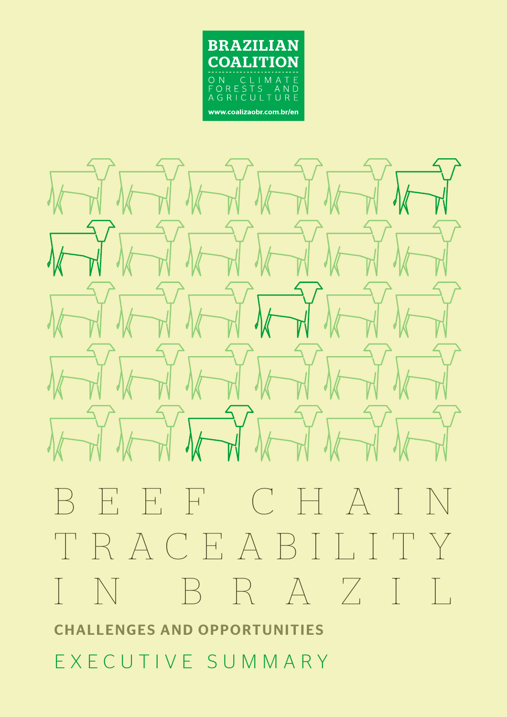



# BEEF CHAIN TRACEABILITY IN BRAZIL CHALLENGES AND OPPORTUNITIES

EXECUTIVE SUMMARY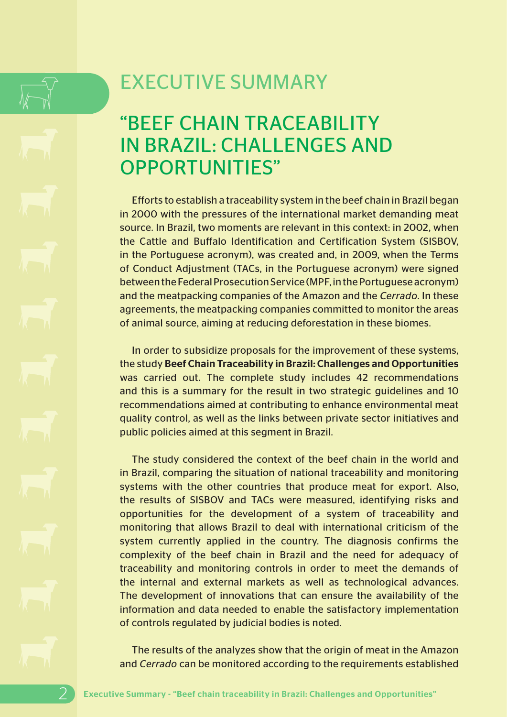# EXECUTIVE SUMMARY

# "BEEF CHAIN TRACEABILITY IN BRAZIL: CHALLENGES AND OPPORTUNITIES"

Efforts to establish a traceability system in the beef chain in Brazil began in 2000 with the pressures of the international market demanding meat source. In Brazil, two moments are relevant in this context: in 2002, when the Cattle and Buffalo Identification and Certification System (SISBOV, in the Portuguese acronym), was created and, in 2009, when the Terms of Conduct Adjustment (TACs, in the Portuguese acronym) were signed between the Federal Prosecution Service (MPF, in the Portuguese acronym) and the meatpacking companies of the Amazon and the *Cerrado*. In these agreements, the meatpacking companies committed to monitor the areas of animal source, aiming at reducing deforestation in these biomes.

In order to subsidize proposals for the improvement of these systems, the study Beef Chain Traceability in Brazil: Challenges and Opportunities was carried out. The complete study includes 42 recommendations and this is a summary for the result in two strategic guidelines and 10 recommendations aimed at contributing to enhance environmental meat quality control, as well as the links between private sector initiatives and public policies aimed at this segment in Brazil.

The study considered the context of the beef chain in the world and in Brazil, comparing the situation of national traceability and monitoring systems with the other countries that produce meat for export. Also, the results of SISBOV and TACs were measured, identifying risks and opportunities for the development of a system of traceability and monitoring that allows Brazil to deal with international criticism of the system currently applied in the country. The diagnosis confirms the complexity of the beef chain in Brazil and the need for adequacy of traceability and monitoring controls in order to meet the demands of the internal and external markets as well as technological advances. The development of innovations that can ensure the availability of the information and data needed to enable the satisfactory implementation of controls regulated by judicial bodies is noted.

The results of the analyzes show that the origin of meat in the Amazon and *Cerrado* can be monitored according to the requirements established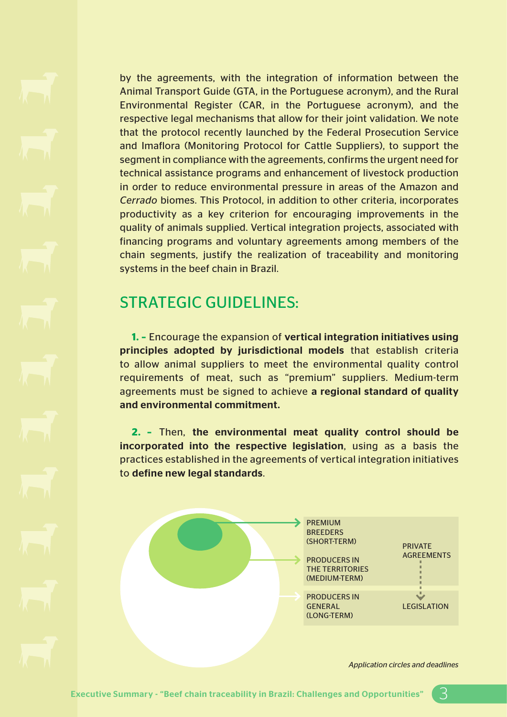by the agreements, with the integration of information between the Animal Transport Guide (GTA, in the Portuguese acronym), and the Rural Environmental Register (CAR, in the Portuguese acronym), and the respective legal mechanisms that allow for their joint validation. We note that the protocol recently launched by the Federal Prosecution Service and Imaflora (Monitoring Protocol for Cattle Suppliers), to support the segment in compliance with the agreements, confirms the urgent need for technical assistance programs and enhancement of livestock production in order to reduce environmental pressure in areas of the Amazon and *Cerrado* biomes. This Protocol, in addition to other criteria, incorporates productivity as a key criterion for encouraging improvements in the quality of animals supplied. Vertical integration projects, associated with financing programs and voluntary agreements among members of the chain segments, justify the realization of traceability and monitoring systems in the beef chain in Brazil.

### STRATEGIC GUIDELINES:

**1. –** Encourage the expansion of vertical integration initiatives using principles adopted by jurisdictional models that establish criteria to allow animal suppliers to meet the environmental quality control requirements of meat, such as "premium" suppliers. Medium-term agreements must be signed to achieve a regional standard of quality and environmental commitment.

**2. –** Then, the environmental meat quality control should be incorporated into the respective legislation, using as a basis the practices established in the agreements of vertical integration initiatives to define new legal standards.



*Application circles and deadlines*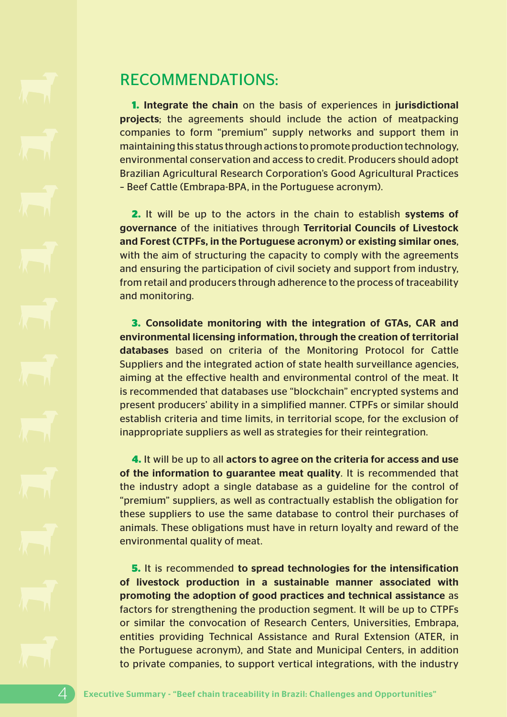### RECOMMENDATIONS:

**1.** Integrate the chain on the basis of experiences in jurisdictional projects; the agreements should include the action of meatpacking companies to form "premium" supply networks and support them in maintaining this status through actions to promote production technology, environmental conservation and access to credit. Producers should adopt Brazilian Agricultural Research Corporation's Good Agricultural Practices – Beef Cattle (Embrapa-BPA, in the Portuguese acronym).

**2.** It will be up to the actors in the chain to establish systems of governance of the initiatives through Territorial Councils of Livestock and Forest (CTPFs, in the Portuguese acronym) or existing similar ones, with the aim of structuring the capacity to comply with the agreements and ensuring the participation of civil society and support from industry, from retail and producers through adherence to the process of traceability and monitoring.

**3.** Consolidate monitoring with the integration of GTAs, CAR and environmental licensing information, through the creation of territorial databases based on criteria of the Monitoring Protocol for Cattle Suppliers and the integrated action of state health surveillance agencies, aiming at the effective health and environmental control of the meat. It is recommended that databases use "blockchain" encrypted systems and present producers' ability in a simplified manner. CTPFs or similar should establish criteria and time limits, in territorial scope, for the exclusion of inappropriate suppliers as well as strategies for their reintegration.

**4.** It will be up to all actors to agree on the criteria for access and use of the information to guarantee meat quality. It is recommended that the industry adopt a single database as a guideline for the control of "premium" suppliers, as well as contractually establish the obligation for these suppliers to use the same database to control their purchases of animals. These obligations must have in return loyalty and reward of the environmental quality of meat.

**5.** It is recommended to spread technologies for the intensification of livestock production in a sustainable manner associated with promoting the adoption of good practices and technical assistance as factors for strengthening the production segment. It will be up to CTPFs or similar the convocation of Research Centers, Universities, Embrapa, entities providing Technical Assistance and Rural Extension (ATER, in the Portuguese acronym), and State and Municipal Centers, in addition to private companies, to support vertical integrations, with the industry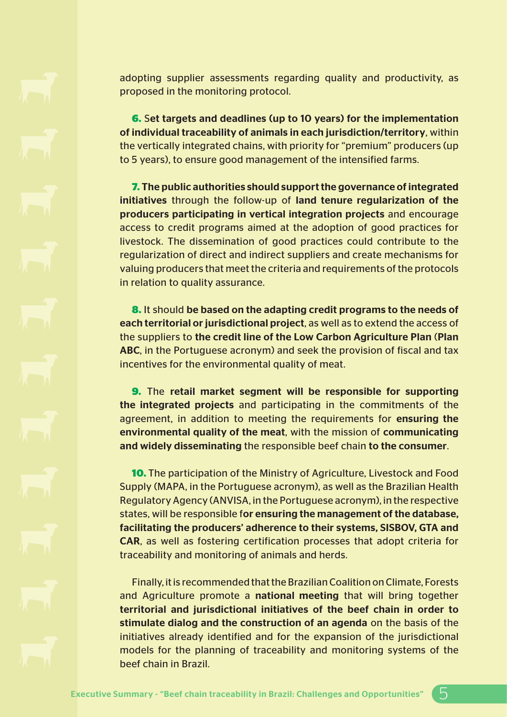adopting supplier assessments regarding quality and productivity, as proposed in the monitoring protocol.

**6.** Set targets and deadlines (up to 10 years) for the implementation of individual traceability of animals in each jurisdiction/territory, within the vertically integrated chains, with priority for "premium" producers (up to 5 years), to ensure good management of the intensified farms.

**7.** The public authorities should support the governance of integrated initiatives through the follow-up of land tenure regularization of the producers participating in vertical integration projects and encourage access to credit programs aimed at the adoption of good practices for livestock. The dissemination of good practices could contribute to the regularization of direct and indirect suppliers and create mechanisms for valuing producers that meet the criteria and requirements of the protocols in relation to quality assurance.

**8.** It should be based on the adapting credit programs to the needs of each territorial or jurisdictional project, as well as to extend the access of the suppliers to the credit line of the Low Carbon Agriculture Plan (Plan ABC, in the Portuguese acronym) and seek the provision of fiscal and tax incentives for the environmental quality of meat.

**9.** The retail market segment will be responsible for supporting the integrated projects and participating in the commitments of the agreement, in addition to meeting the requirements for ensuring the environmental quality of the meat, with the mission of communicating and widely disseminating the responsible beef chain to the consumer.

**10.** The participation of the Ministry of Agriculture, Livestock and Food Supply (MAPA, in the Portuguese acronym), as well as the Brazilian Health Regulatory Agency (ANVISA, in the Portuguese acronym), in the respective states, will be responsible for ensuring the management of the database, facilitating the producers' adherence to their systems, SISBOV, GTA and CAR, as well as fostering certification processes that adopt criteria for traceability and monitoring of animals and herds.

Finally, it is recommended that the Brazilian Coalition on Climate, Forests and Agriculture promote a national meeting that will bring together territorial and jurisdictional initiatives of the beef chain in order to stimulate dialog and the construction of an agenda on the basis of the initiatives already identified and for the expansion of the jurisdictional models for the planning of traceability and monitoring systems of the beef chain in Brazil.